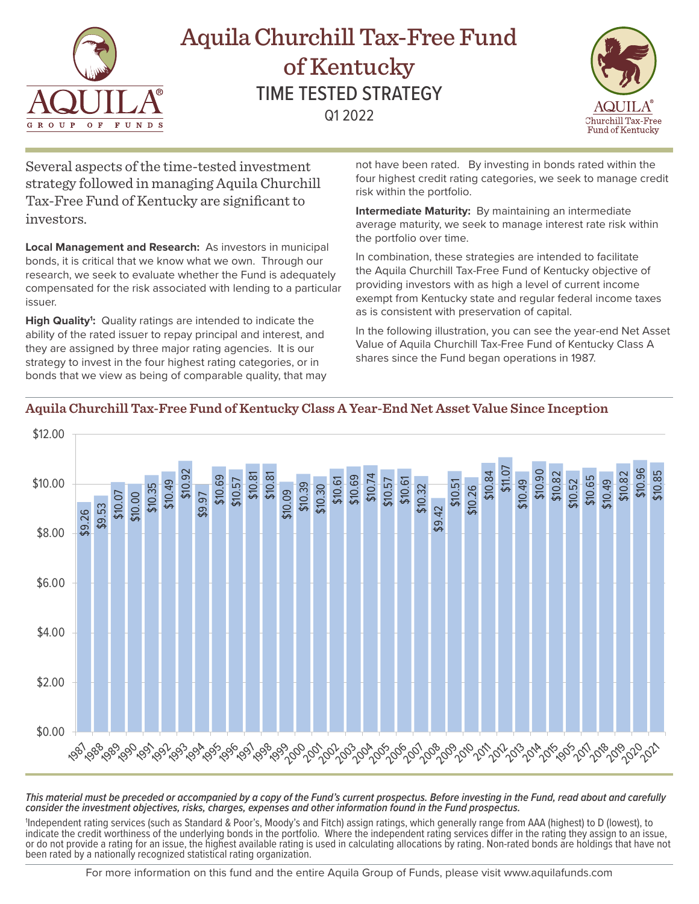

# Aquila Churchill Tax-Free Fund of Kentucky TIME TESTED STRATEGY Q1 2022



Several aspects of the time-tested investment strategy followed in managing Aquila Churchill Tax-Free Fund of Kentucky are significant to investors.

**Local Management and Research:** As investors in municipal bonds, it is critical that we know what we own. Through our research, we seek to evaluate whether the Fund is adequately compensated for the risk associated with lending to a particular issuer.

High Quality<sup>1</sup>: Quality ratings are intended to indicate the ability of the rated issuer to repay principal and interest, and they are assigned by three major rating agencies. It is our strategy to invest in the four highest rating categories, or in bonds that we view as being of comparable quality, that may not have been rated. By investing in bonds rated within the four highest credit rating categories, we seek to manage credit risk within the portfolio.

**Intermediate Maturity:** By maintaining an intermediate average maturity, we seek to manage interest rate risk within the portfolio over time.

In combination, these strategies are intended to facilitate the Aquila Churchill Tax-Free Fund of Kentucky objective of providing investors with as high a level of current income exempt from Kentucky state and regular federal income taxes as is consistent with preservation of capital.

In the following illustration, you can see the year-end Net Asset Value of Aquila Churchill Tax-Free Fund of Kentucky Class A shares since the Fund began operations in 1987.



## **Aquila Churchill Tax-Free Fund of Kentucky Class A Year-End Net Asset Value Since Inception**

*This material must be preceded or accompanied by a copy of the Fund's current prospectus. Before investing in the Fund, read about and carefully consider the investment objectives, risks, charges, expenses and other information found in the Fund prospectus.* 

1 Independent rating services (such as Standard & Poor's, Moody's and Fitch) assign ratings, which generally range from AAA (highest) to D (lowest), to indicate the credit worthiness of the underlying bonds in the portfolio. Where the independent rating services differ in the rating they assign to an issue, or do not provide a rating for an issue, the highest available rating is used in calculating allocations by rating. Non-rated bonds are holdings that have not been rated by a nationally recognized statistical rating organization.